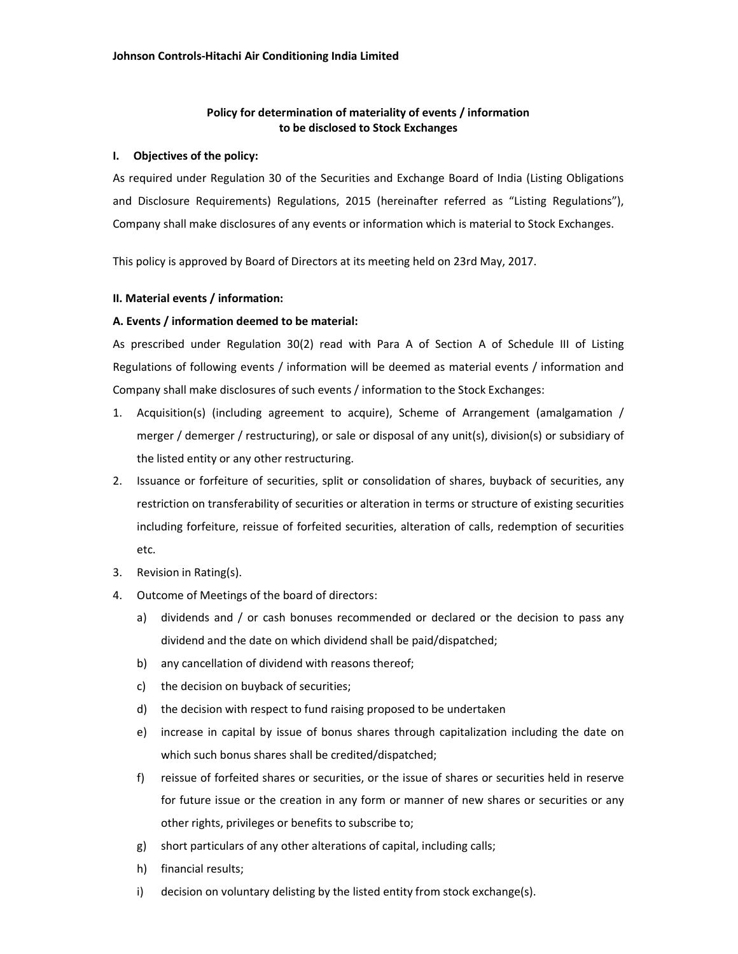# **Policy for determination of materiality of events / information to be disclosed to Stock Exchanges**

## **I. Objectives of the policy:**

As required under Regulation 30 of the Securities and Exchange Board of India (Listing Obligations and Disclosure Requirements) Regulations, 2015 (hereinafter referred as "Listing Regulations"), Company shall make disclosures of any events or information which is material to Stock Exchanges.

This policy is approved by Board of Directors at its meeting held on 23rd May, 2017.

#### **II. Material events / information:**

## **A. Events / information deemed to be material:**

As prescribed under Regulation 30(2) read with Para A of Section A of Schedule III of Listing Regulations of following events / information will be deemed as material events / information and Company shall make disclosures of such events / information to the Stock Exchanges:

- 1. Acquisition(s) (including agreement to acquire), Scheme of Arrangement (amalgamation / merger / demerger / restructuring), or sale or disposal of any unit(s), division(s) or subsidiary of the listed entity or any other restructuring.
- 2. Issuance or forfeiture of securities, split or consolidation of shares, buyback of securities, any restriction on transferability of securities or alteration in terms or structure of existing securities including forfeiture, reissue of forfeited securities, alteration of calls, redemption of securities etc.
- 3. Revision in Rating(s).
- 4. Outcome of Meetings of the board of directors:
	- a) dividends and / or cash bonuses recommended or declared or the decision to pass any dividend and the date on which dividend shall be paid/dispatched;
	- b) any cancellation of dividend with reasons thereof;
	- c) the decision on buyback of securities;
	- d) the decision with respect to fund raising proposed to be undertaken
	- e) increase in capital by issue of bonus shares through capitalization including the date on which such bonus shares shall be credited/dispatched;
	- f) reissue of forfeited shares or securities, or the issue of shares or securities held in reserve for future issue or the creation in any form or manner of new shares or securities or any other rights, privileges or benefits to subscribe to;
	- g) short particulars of any other alterations of capital, including calls;
	- h) financial results;
	- i) decision on voluntary delisting by the listed entity from stock exchange(s).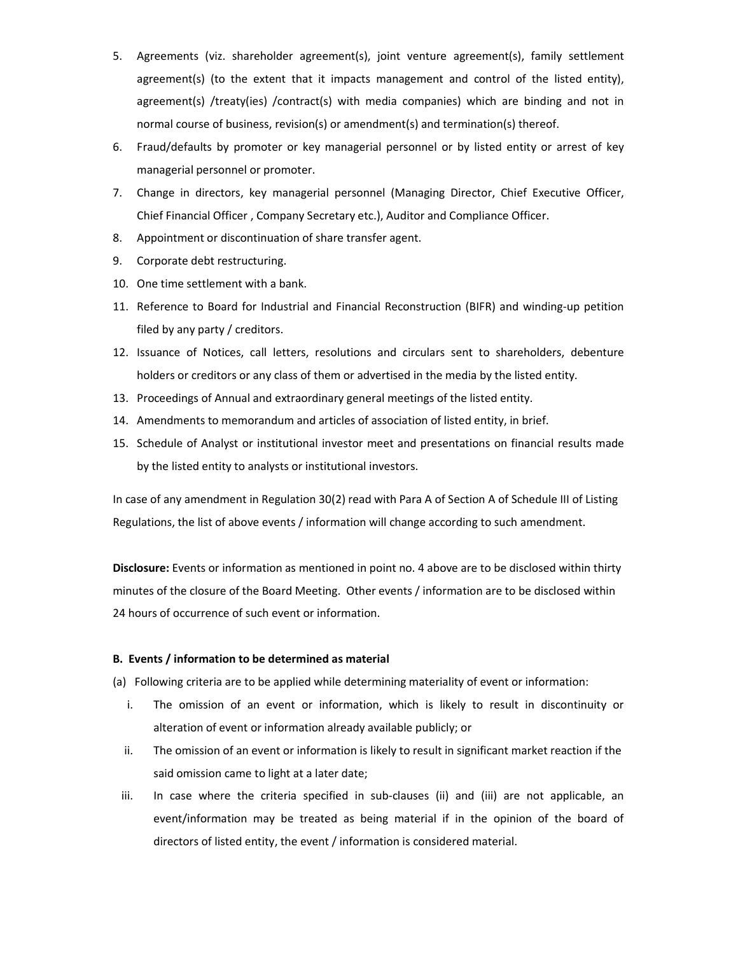- 5. Agreements (viz. shareholder agreement(s), joint venture agreement(s), family settlement agreement(s) (to the extent that it impacts management and control of the listed entity), agreement(s) /treaty(ies) /contract(s) with media companies) which are binding and not in normal course of business, revision(s) or amendment(s) and termination(s) thereof.
- 6. Fraud/defaults by promoter or key managerial personnel or by listed entity or arrest of key managerial personnel or promoter.
- 7. Change in directors, key managerial personnel (Managing Director, Chief Executive Officer, Chief Financial Officer , Company Secretary etc.), Auditor and Compliance Officer.
- 8. Appointment or discontinuation of share transfer agent.
- 9. Corporate debt restructuring.
- 10. One time settlement with a bank.
- 11. Reference to Board for Industrial and Financial Reconstruction (BIFR) and winding-up petition filed by any party / creditors.
- 12. Issuance of Notices, call letters, resolutions and circulars sent to shareholders, debenture holders or creditors or any class of them or advertised in the media by the listed entity.
- 13. Proceedings of Annual and extraordinary general meetings of the listed entity.
- 14. Amendments to memorandum and articles of association of listed entity, in brief.
- 15. Schedule of Analyst or institutional investor meet and presentations on financial results made by the listed entity to analysts or institutional investors.

In case of any amendment in Regulation 30(2) read with Para A of Section A of Schedule III of Listing Regulations, the list of above events / information will change according to such amendment.

**Disclosure:** Events or information as mentioned in point no. 4 above are to be disclosed within thirty minutes of the closure of the Board Meeting. Other events / information are to be disclosed within 24 hours of occurrence of such event or information.

# **B. Events / information to be determined as material**

(a) Following criteria are to be applied while determining materiality of event or information:

- i. The omission of an event or information, which is likely to result in discontinuity or alteration of event or information already available publicly; or
- ii. The omission of an event or information is likely to result in significant market reaction if the said omission came to light at a later date;
- iii. In case where the criteria specified in sub-clauses (ii) and (iii) are not applicable, an event/information may be treated as being material if in the opinion of the board of directors of listed entity, the event / information is considered material.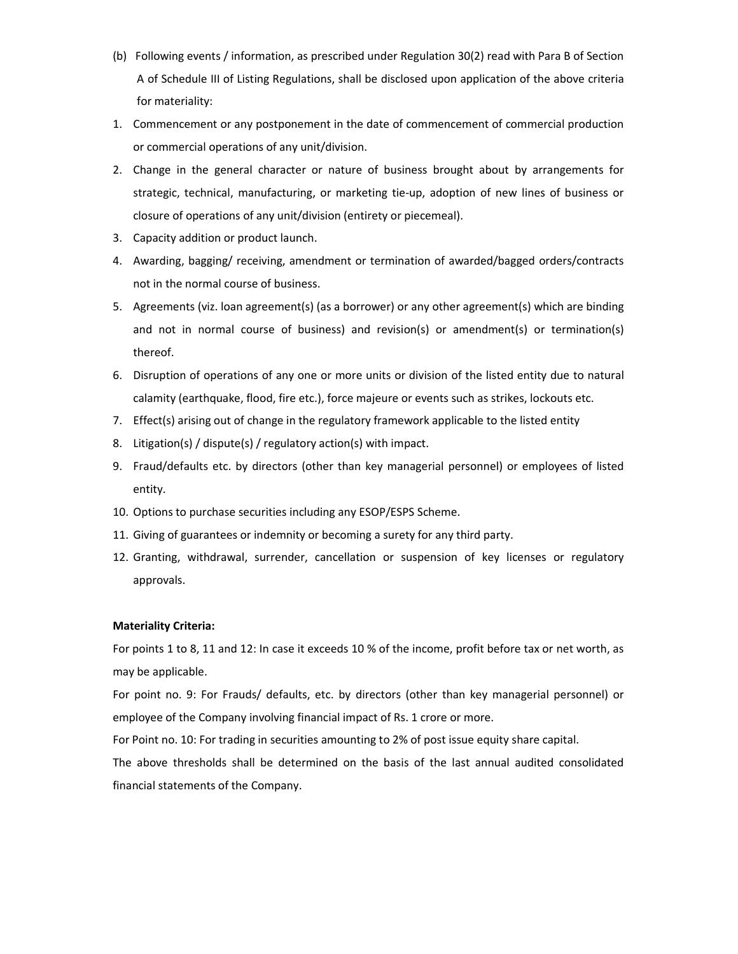- (b) Following events / information, as prescribed under Regulation 30(2) read with Para B of Section A of Schedule III of Listing Regulations, shall be disclosed upon application of the above criteria for materiality:
- 1. Commencement or any postponement in the date of commencement of commercial production or commercial operations of any unit/division.
- 2. Change in the general character or nature of business brought about by arrangements for strategic, technical, manufacturing, or marketing tie-up, adoption of new lines of business or closure of operations of any unit/division (entirety or piecemeal).
- 3. Capacity addition or product launch.
- 4. Awarding, bagging/ receiving, amendment or termination of awarded/bagged orders/contracts not in the normal course of business.
- 5. Agreements (viz. loan agreement(s) (as a borrower) or any other agreement(s) which are binding and not in normal course of business) and revision(s) or amendment(s) or termination(s) thereof.
- 6. Disruption of operations of any one or more units or division of the listed entity due to natural calamity (earthquake, flood, fire etc.), force majeure or events such as strikes, lockouts etc.
- 7. Effect(s) arising out of change in the regulatory framework applicable to the listed entity
- 8. Litigation(s) / dispute(s) / regulatory action(s) with impact.
- 9. Fraud/defaults etc. by directors (other than key managerial personnel) or employees of listed entity.
- 10. Options to purchase securities including any ESOP/ESPS Scheme.
- 11. Giving of guarantees or indemnity or becoming a surety for any third party.
- 12. Granting, withdrawal, surrender, cancellation or suspension of key licenses or regulatory approvals.

# **Materiality Criteria:**

For points 1 to 8, 11 and 12: In case it exceeds 10 % of the income, profit before tax or net worth, as may be applicable.

For point no. 9: For Frauds/ defaults, etc. by directors (other than key managerial personnel) or employee of the Company involving financial impact of Rs. 1 crore or more.

For Point no. 10: For trading in securities amounting to 2% of post issue equity share capital.

The above thresholds shall be determined on the basis of the last annual audited consolidated financial statements of the Company.